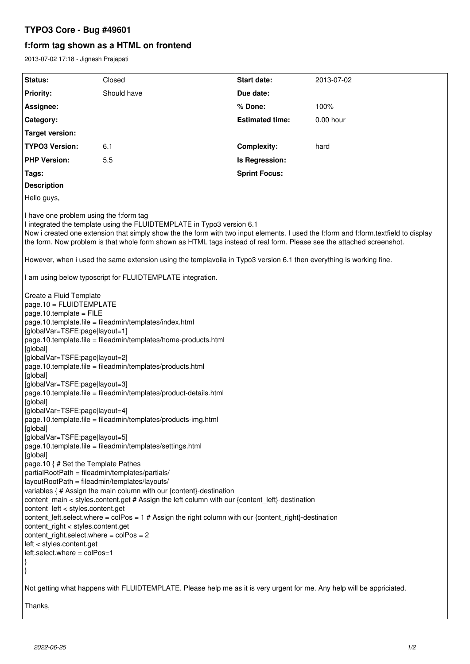# **TYPO3 Core - Bug #49601**

# **f:form tag shown as a HTML on frontend**

2013-07-02 17:18 - Jignesh Prajapati

| Status:<br>Closed<br>Start date:<br>Should have<br><b>Priority:</b><br>Due date:<br>% Done:<br>Assignee:<br>Category:<br><b>Estimated time:</b><br><b>Target version:</b><br><b>TYPO3 Version:</b><br>6.1<br><b>Complexity:</b><br><b>PHP Version:</b><br>5.5<br>Is Regression:<br><b>Sprint Focus:</b><br>Tags:<br><b>Description</b><br>Hello guys,<br>I have one problem using the f:form tag<br>I integrated the template using the FLUIDTEMPLATE in Typo3 version 6.1<br>Now i created one extension that simply show the the form with two input elements. I used the f:form and f:form.textfield to display<br>the form. Now problem is that whole form shown as HTML tags instead of real form. Please see the attached screenshot.<br>However, when i used the same extension using the templavoila in Typo3 version 6.1 then everything is working fine.<br>I am using below typoscript for FLUIDTEMPLATE integration.<br>Create a Fluid Template<br>page.10 = FLUIDTEMPLATE<br>page.10.template = $FILE$<br>page.10.template.file = fileadmin/templates/index.html<br>[globalVar=TSFE:page layout=1]<br>page.10.template.file = fileadmin/templates/home-products.html<br>[global]<br>[globalVar=TSFE:page layout=2]<br>page.10.template.file = fileadmin/templates/products.html<br>[global]<br>[globalVar=TSFE:page layout=3]<br>page.10.template.file = fileadmin/templates/product-details.html<br>[global]<br>[globalVar=TSFE:page layout=4]<br>page.10.template.file = fileadmin/templates/products-img.html | 2013-07-02<br>100%<br>0.00 hour<br>hard |
|-------------------------------------------------------------------------------------------------------------------------------------------------------------------------------------------------------------------------------------------------------------------------------------------------------------------------------------------------------------------------------------------------------------------------------------------------------------------------------------------------------------------------------------------------------------------------------------------------------------------------------------------------------------------------------------------------------------------------------------------------------------------------------------------------------------------------------------------------------------------------------------------------------------------------------------------------------------------------------------------------------------------------------------------------------------------------------------------------------------------------------------------------------------------------------------------------------------------------------------------------------------------------------------------------------------------------------------------------------------------------------------------------------------------------------------------------------------------------------------------------------------------------------|-----------------------------------------|
|                                                                                                                                                                                                                                                                                                                                                                                                                                                                                                                                                                                                                                                                                                                                                                                                                                                                                                                                                                                                                                                                                                                                                                                                                                                                                                                                                                                                                                                                                                                               |                                         |
|                                                                                                                                                                                                                                                                                                                                                                                                                                                                                                                                                                                                                                                                                                                                                                                                                                                                                                                                                                                                                                                                                                                                                                                                                                                                                                                                                                                                                                                                                                                               |                                         |
|                                                                                                                                                                                                                                                                                                                                                                                                                                                                                                                                                                                                                                                                                                                                                                                                                                                                                                                                                                                                                                                                                                                                                                                                                                                                                                                                                                                                                                                                                                                               |                                         |
|                                                                                                                                                                                                                                                                                                                                                                                                                                                                                                                                                                                                                                                                                                                                                                                                                                                                                                                                                                                                                                                                                                                                                                                                                                                                                                                                                                                                                                                                                                                               |                                         |
|                                                                                                                                                                                                                                                                                                                                                                                                                                                                                                                                                                                                                                                                                                                                                                                                                                                                                                                                                                                                                                                                                                                                                                                                                                                                                                                                                                                                                                                                                                                               |                                         |
|                                                                                                                                                                                                                                                                                                                                                                                                                                                                                                                                                                                                                                                                                                                                                                                                                                                                                                                                                                                                                                                                                                                                                                                                                                                                                                                                                                                                                                                                                                                               |                                         |
|                                                                                                                                                                                                                                                                                                                                                                                                                                                                                                                                                                                                                                                                                                                                                                                                                                                                                                                                                                                                                                                                                                                                                                                                                                                                                                                                                                                                                                                                                                                               |                                         |
|                                                                                                                                                                                                                                                                                                                                                                                                                                                                                                                                                                                                                                                                                                                                                                                                                                                                                                                                                                                                                                                                                                                                                                                                                                                                                                                                                                                                                                                                                                                               |                                         |
|                                                                                                                                                                                                                                                                                                                                                                                                                                                                                                                                                                                                                                                                                                                                                                                                                                                                                                                                                                                                                                                                                                                                                                                                                                                                                                                                                                                                                                                                                                                               |                                         |
|                                                                                                                                                                                                                                                                                                                                                                                                                                                                                                                                                                                                                                                                                                                                                                                                                                                                                                                                                                                                                                                                                                                                                                                                                                                                                                                                                                                                                                                                                                                               |                                         |
|                                                                                                                                                                                                                                                                                                                                                                                                                                                                                                                                                                                                                                                                                                                                                                                                                                                                                                                                                                                                                                                                                                                                                                                                                                                                                                                                                                                                                                                                                                                               |                                         |
|                                                                                                                                                                                                                                                                                                                                                                                                                                                                                                                                                                                                                                                                                                                                                                                                                                                                                                                                                                                                                                                                                                                                                                                                                                                                                                                                                                                                                                                                                                                               |                                         |
| [global]<br>[globalVar=TSFE:page layout=5]<br>page.10.template.file = fileadmin/templates/settings.html<br>[global]<br>page.10 { # Set the Template Pathes<br>partialRootPath = fileadmin/templates/partials/<br>layoutRootPath = fileadmin/templates/layouts/<br>variables { # Assign the main column with our {content}-destination<br>content_main < styles.content.get # Assign the left column with our {content_left}-destination<br>content_left < styles.content.get<br>content_left.select.where = $colPos = 1$ # Assign the right column with our {content_right}-destination<br>content_right < styles.content.get<br>content_right.select.where = $colPos = 2$<br>left < styles.content.get<br>left.select.where = colPos=1<br>Not getting what happens with FLUIDTEMPLATE. Please help me as it is very urgent for me. Any help will be appriciated.                                                                                                                                                                                                                                                                                                                                                                                                                                                                                                                                                                                                                                                             |                                         |